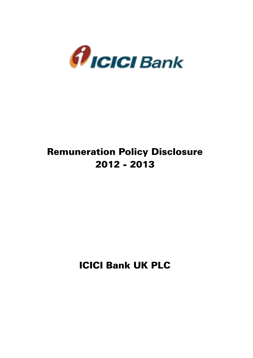

# Remuneration Policy Disclosure 2012 - 2013

ICICI Bank UK PLC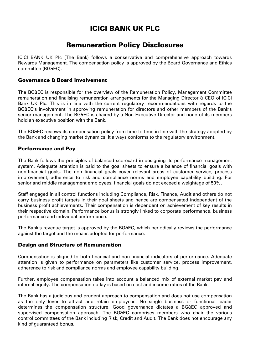## ICICI BANK UK PLC

### Remuneration Policy Disclosures

ICICI BANK UK Plc (The Bank) follows a conservative and comprehensive approach towards Rewards Management. The compensation policy is approved by the Board Governance and Ethics committee (BG&EC).

#### Governance & Board involvement

The BG&EC is responsible for the overview of the Remuneration Policy, Management Committee remuneration and finalising remuneration arrangements for the Managing Director & CEO of ICICI Bank UK Plc. This is in line with the current regulatory recommendations with regards to the BG&EC's involvement in approving remuneration for directors and other members of the Bank's senior management. The BG&EC is chaired by a Non Executive Director and none of its members hold an executive position with the Bank.

The BG&EC reviews its compensation policy from time to time in line with the strategy adopted by the Bank and changing market dynamics. It always conforms to the regulatory environment.

#### Performance and Pay

The Bank follows the principles of balanced scorecard in designing its performance management system. Adequate attention is paid to the goal sheets to ensure a balance of financial goals with non-financial goals. The non financial goals cover relevant areas of customer service, process improvement, adherence to risk and compliance norms and employee capability building. For senior and middle management employees, financial goals do not exceed a weightage of 50%.

Staff engaged in all control functions including Compliance, Risk, Finance, Audit and others do not carry business profit targets in their goal sheets and hence are compensated independent of the business profit achievements. Their compensation is dependent on achievement of key results in their respective domain. Performance bonus is strongly linked to corporate performance, business performance and individual performance.

The Bank's revenue target is approved by the BG&EC, which periodically reviews the performance against the target and the means adopted for performance.

#### Design and Structure of Remuneration

Compensation is aligned to both financial and non-financial indicators of performance. Adequate attention is given to performance on parameters like customer service, process improvement, adherence to risk and compliance norms and employee capability building.

Further, employee compensation takes into account a balanced mix of external market pay and internal equity. The compensation outlay is based on cost and income ratios of the Bank.

The Bank has a judicious and prudent approach to compensation and does not use compensation as the only lever to attract and retain employees. No single business or functional leader determines the compensation structure. Good governance dictates a BG&EC approved and supervised compensation approach. The BG&EC comprises members who chair the various control committees of the Bank including Risk, Credit and Audit. The Bank does not encourage any kind of guaranteed bonus.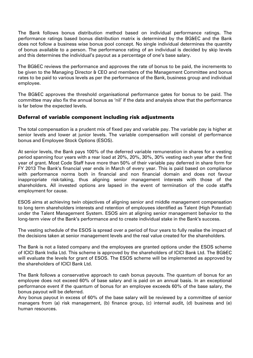The Bank follows bonus distribution method based on individual performance ratings. The performance ratings based bonus distribution matrix is determined by the BG&EC and the Bank does not follow a business wise bonus pool concept. No single individual determines the quantity of bonus available to a person. The performance rating of an individual is decided by skip levels and this determines the individual's payout as a percentage of one's base salary.

The BG&EC reviews the performance and approves the rate of bonus to be paid, the increments to be given to the Managing Director & CEO and members of the Management Committee and bonus rates to be paid to various levels as per the performance of the Bank, business group and individual employee.

The BG&EC approves the threshold organisational performance gates for bonus to be paid. The committee may also fix the annual bonus as 'nil' if the data and analysis show that the performance is far below the expected levels.

#### Deferral of variable component including risk adjustments

The total compensation is a prudent mix of fixed pay and variable pay. The variable pay is higher at senior levels and lower at junior levels. The variable compensation will consist of performance bonus and Employee Stock Options (ESOS).

At senior levels, the Bank pays 100% of the deferred variable remuneration in shares for a vesting period spanning four years with a rear load at 20%, 20%, 30%, 30% vesting each year after the first year of grant. Most Code Staff have more than 50% of their variable pay deferred in share form for FY 2013 The Bank's financial year ends in March of every year. This is paid based on compliance with performance norms both in financial and non financial domain and does not favour inappropriate risk-taking, thus aligning senior management interests with those of the shareholders. All invested options are lapsed in the event of termination of the code staff's employment for cause.

ESOS aims at achieving twin objectives of aligning senior and middle management compensation to long term shareholders interests and retention of employees identified as Talent (High Potential) under the Talent Management System. ESOS aim at aligning senior management behavior to the long-term view of the Bank's performance and to create individual stake in the Bank's success.

The vesting schedule of the ESOS is spread over a period of four years to fully realise the impact of the decisions taken at senior management levels and the real value created for the shareholders.

The Bank is not a listed company and the employees are granted options under the ESOS scheme of ICICI Bank India Ltd. This scheme is approved by the shareholders of ICICI Bank Ltd. The BG&EC will evaluate the levels for grant of ESOS. The ESOS scheme will be implemented as approved by the shareholders of ICICI Bank Ltd.

The Bank follows a conservative approach to cash bonus payouts. The quantum of bonus for an employee does not exceed 60% of base salary and is paid on an annual basis. In an exceptional performance event if the quantum of bonus for an employee exceeds 60% of the base salary, the bonus payout will be deferred.

Any bonus payout in excess of 60% of the base salary will be reviewed by a committee of senior managers from (a) risk management, (b) finance group, (c) internal audit, (d) business and (e) human resources.